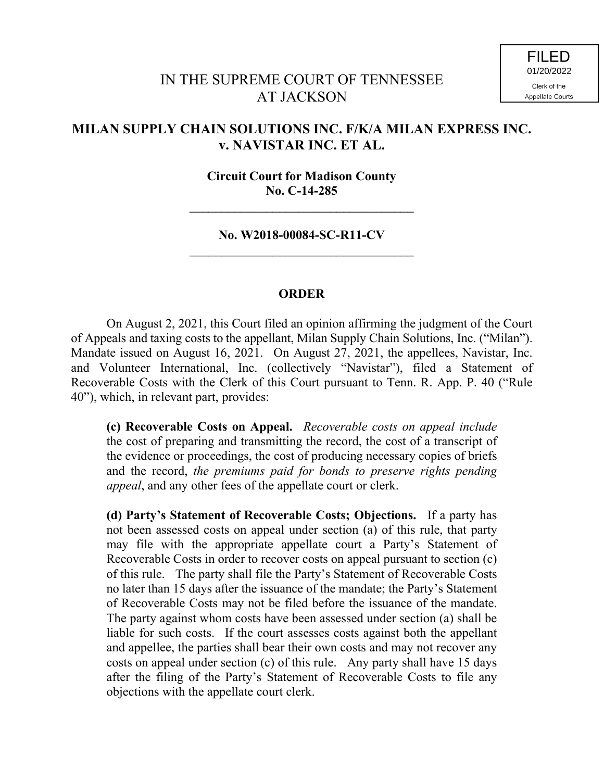## IN THE SUPREME COURT OF TENNESSEE AT JACKSON

## **MILAN SUPPLY CHAIN SOLUTIONS INC. F/K/A MILAN EXPRESS INC. v. NAVISTAR INC. ET AL.**

## **Circuit Court for Madison County No. C-14-285**

**\_\_\_\_\_\_\_\_\_\_\_\_\_\_\_\_\_\_\_\_\_\_\_\_\_\_\_\_\_\_\_\_\_\_\_**

**No. W2018-00084-SC-R11-CV**

## **ORDER**

On August 2, 2021, this Court filed an opinion affirming the judgment of the Court of Appeals and taxing costs to the appellant, Milan Supply Chain Solutions, Inc. ("Milan"). Mandate issued on August 16, 2021. On August 27, 2021, the appellees, Navistar, Inc. and Volunteer International, Inc. (collectively "Navistar"), filed a Statement of Recoverable Costs with the Clerk of this Court pursuant to Tenn. R. App. P. 40 ("Rule 40"), which, in relevant part, provides:

**(c) Recoverable Costs on Appeal.** *Recoverable costs on appeal include* the cost of preparing and transmitting the record, the cost of a transcript of the evidence or proceedings, the cost of producing necessary copies of briefs and the record, *the premiums paid for bonds to preserve rights pending appeal*, and any other fees of the appellate court or clerk.

**(d) Party's Statement of Recoverable Costs; Objections.** If a party has not been assessed costs on appeal under section (a) of this rule, that party may file with the appropriate appellate court a Party's Statement of Recoverable Costs in order to recover costs on appeal pursuant to section (c) of this rule. The party shall file the Party's Statement of Recoverable Costs no later than 15 days after the issuance of the mandate; the Party's Statement of Recoverable Costs may not be filed before the issuance of the mandate. The party against whom costs have been assessed under section (a) shall be liable for such costs. If the court assesses costs against both the appellant and appellee, the parties shall bear their own costs and may not recover any costs on appeal under section (c) of this rule. Any party shall have 15 days after the filing of the Party's Statement of Recoverable Costs to file any objections with the appellate court clerk.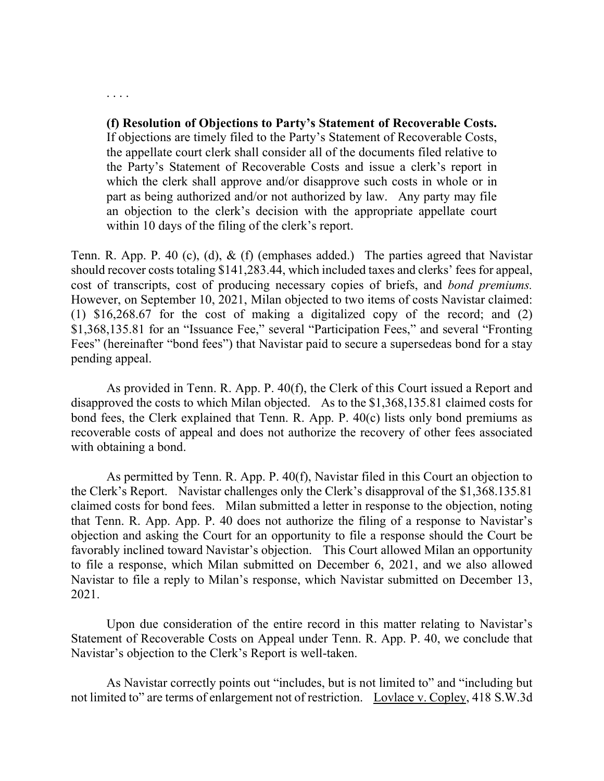**(f) Resolution of Objections to Party's Statement of Recoverable Costs.**

. . . .

If objections are timely filed to the Party's Statement of Recoverable Costs, the appellate court clerk shall consider all of the documents filed relative to the Party's Statement of Recoverable Costs and issue a clerk's report in which the clerk shall approve and/or disapprove such costs in whole or in part as being authorized and/or not authorized by law. Any party may file an objection to the clerk's decision with the appropriate appellate court within 10 days of the filing of the clerk's report.

Tenn. R. App. P. 40 (c), (d), & (f) (emphases added.) The parties agreed that Navistar should recover costs totaling \$141,283.44, which included taxes and clerks' fees for appeal, cost of transcripts, cost of producing necessary copies of briefs, and *bond premiums.*  However, on September 10, 2021, Milan objected to two items of costs Navistar claimed: (1) \$16,268.67 for the cost of making a digitalized copy of the record; and (2) \$1,368,135.81 for an "Issuance Fee," several "Participation Fees," and several "Fronting Fees" (hereinafter "bond fees") that Navistar paid to secure a supersedeas bond for a stay pending appeal.

As provided in Tenn. R. App. P. 40(f), the Clerk of this Court issued a Report and disapproved the costs to which Milan objected. As to the \$1,368,135.81 claimed costs for bond fees, the Clerk explained that Tenn. R. App. P. 40(c) lists only bond premiums as recoverable costs of appeal and does not authorize the recovery of other fees associated with obtaining a bond.

As permitted by Tenn. R. App. P. 40(f), Navistar filed in this Court an objection to the Clerk's Report. Navistar challenges only the Clerk's disapproval of the \$1,368.135.81 claimed costs for bond fees. Milan submitted a letter in response to the objection, noting that Tenn. R. App. App. P. 40 does not authorize the filing of a response to Navistar's objection and asking the Court for an opportunity to file a response should the Court be favorably inclined toward Navistar's objection. This Court allowed Milan an opportunity to file a response, which Milan submitted on December 6, 2021, and we also allowed Navistar to file a reply to Milan's response, which Navistar submitted on December 13, 2021.

Upon due consideration of the entire record in this matter relating to Navistar's Statement of Recoverable Costs on Appeal under Tenn. R. App. P. 40, we conclude that Navistar's objection to the Clerk's Report is well-taken.

As Navistar correctly points out "includes, but is not limited to" and "including but not limited to" are terms of enlargement not of restriction. Lovlace v. Copley, 418 S.W.3d